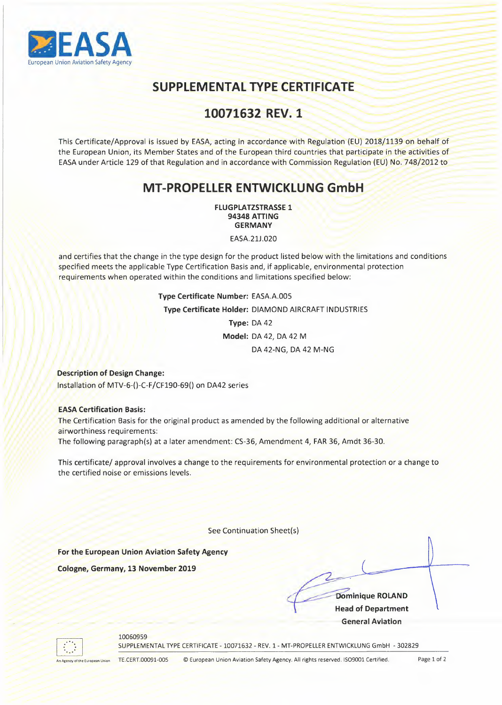

## **SUPPLEMENTAL TYPE CERTIFICATE**

# 10071632 REV. 1

This Certificate/Approval is issued by EASA, acting in accordance with Regulation (EU) 2018/1139 on behalf of the European Union, its Member States and of the European third countries that participate in the activities of EASA under Article 129 of that Regulation and in accordance with Commission Regulation (EU) No. 748/2012 to

### **MT-PROPELLER ENTWICKLUNG GmbH**

**FLUGPLATZSTRASSE 1 94348 A TTI NG GERMANY** 

EASA.21J.020

and certifies that the change in the type design for the product listed below with the limitations and conditions specified meets the applicable Type Certification Basis and, if applicable, environmental protection requirements when operated within the conditions and limitations specified below:

> **Type Certificate Number:** EASA.A.005 **Type Certificate Holder:** DIAMOND AIRCRAFT INDUSTRIES **Type:** DA 42 **Model:** DA 42, DA 42 **M**  DA 42-NG, DA 42 M-NG

**Description of Design Change:**  Installation of MTV-6-()-C-F/CF190-69() on DA42 series

#### EASA Certification **Basis:**

The Certification Basis for the original product as amended by the following additional or alternative airworthiness requirements: The following paragraph(s) at a later amendment: CS-36, Amendment 4, FAR 36, Amdt 36-30.

This certificate/ approval involves a change to the requirements for environmental protection or a change to the certified noise or emissions levels.

See Continuation Sheet(s)

**For the European Union Aviation Safety Agency** 

**Cologne, Germany, 13 November 2019** 

**x**<br> **Example 2014**<br> **Example 2014**<br> **Example 2014**<br> **Contract Aviation General Aviation** 



#### 10060959

SUPPLEMENTAL TYPE CERTIFICATE - 10071632 - REV. 1- MT-PROPELLER ENTWICKLUNG GmbH - 302829

An Agency of the European Union

TE.CERT.00091-005 © European Union Aviation Safety Agency. All rights reserved. ISO9001 Certified. Page 1 of 2